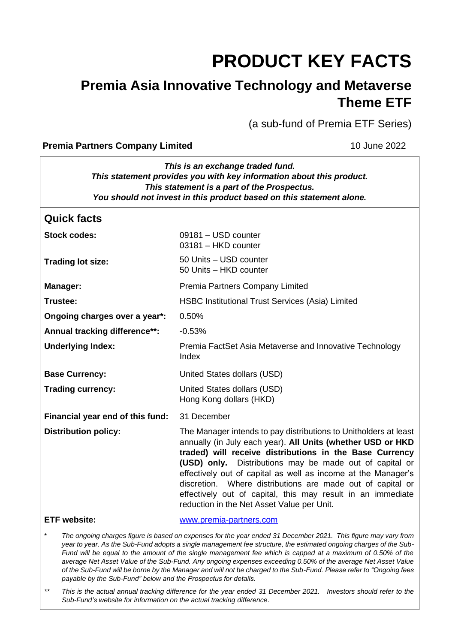# **PRODUCT KEY FACTS**

## **Premia Asia Innovative Technology and Metaverse Theme ETF**

(a sub-fund of Premia ETF Series)

#### **Premia Partners Company Limited 10 June 2022**

| This is an exchange traded fund.<br>This statement provides you with key information about this product.<br>This statement is a part of the Prospectus.<br>You should not invest in this product based on this statement alone.                                                                                                                                                                                                                                                                                                                                                                                                                            |                                                                                                                                                                                                                                                                                                                                                                                                                                                                                                   |  |
|------------------------------------------------------------------------------------------------------------------------------------------------------------------------------------------------------------------------------------------------------------------------------------------------------------------------------------------------------------------------------------------------------------------------------------------------------------------------------------------------------------------------------------------------------------------------------------------------------------------------------------------------------------|---------------------------------------------------------------------------------------------------------------------------------------------------------------------------------------------------------------------------------------------------------------------------------------------------------------------------------------------------------------------------------------------------------------------------------------------------------------------------------------------------|--|
| <b>Quick facts</b>                                                                                                                                                                                                                                                                                                                                                                                                                                                                                                                                                                                                                                         |                                                                                                                                                                                                                                                                                                                                                                                                                                                                                                   |  |
| <b>Stock codes:</b>                                                                                                                                                                                                                                                                                                                                                                                                                                                                                                                                                                                                                                        | 09181 - USD counter<br>03181 - HKD counter                                                                                                                                                                                                                                                                                                                                                                                                                                                        |  |
| <b>Trading lot size:</b>                                                                                                                                                                                                                                                                                                                                                                                                                                                                                                                                                                                                                                   | 50 Units - USD counter<br>50 Units - HKD counter                                                                                                                                                                                                                                                                                                                                                                                                                                                  |  |
| <b>Manager:</b>                                                                                                                                                                                                                                                                                                                                                                                                                                                                                                                                                                                                                                            | Premia Partners Company Limited                                                                                                                                                                                                                                                                                                                                                                                                                                                                   |  |
| Trustee:                                                                                                                                                                                                                                                                                                                                                                                                                                                                                                                                                                                                                                                   | <b>HSBC Institutional Trust Services (Asia) Limited</b>                                                                                                                                                                                                                                                                                                                                                                                                                                           |  |
| Ongoing charges over a year*:                                                                                                                                                                                                                                                                                                                                                                                                                                                                                                                                                                                                                              | 0.50%                                                                                                                                                                                                                                                                                                                                                                                                                                                                                             |  |
| Annual tracking difference**:                                                                                                                                                                                                                                                                                                                                                                                                                                                                                                                                                                                                                              | $-0.53%$                                                                                                                                                                                                                                                                                                                                                                                                                                                                                          |  |
| <b>Underlying Index:</b>                                                                                                                                                                                                                                                                                                                                                                                                                                                                                                                                                                                                                                   | Premia FactSet Asia Metaverse and Innovative Technology<br>Index                                                                                                                                                                                                                                                                                                                                                                                                                                  |  |
| <b>Base Currency:</b>                                                                                                                                                                                                                                                                                                                                                                                                                                                                                                                                                                                                                                      | United States dollars (USD)                                                                                                                                                                                                                                                                                                                                                                                                                                                                       |  |
| <b>Trading currency:</b>                                                                                                                                                                                                                                                                                                                                                                                                                                                                                                                                                                                                                                   | United States dollars (USD)<br>Hong Kong dollars (HKD)                                                                                                                                                                                                                                                                                                                                                                                                                                            |  |
| Financial year end of this fund:                                                                                                                                                                                                                                                                                                                                                                                                                                                                                                                                                                                                                           | 31 December                                                                                                                                                                                                                                                                                                                                                                                                                                                                                       |  |
| <b>Distribution policy:</b>                                                                                                                                                                                                                                                                                                                                                                                                                                                                                                                                                                                                                                | The Manager intends to pay distributions to Unitholders at least<br>annually (in July each year). All Units (whether USD or HKD<br>traded) will receive distributions in the Base Currency<br>(USD) only. Distributions may be made out of capital or<br>effectively out of capital as well as income at the Manager's<br>discretion. Where distributions are made out of capital or<br>effectively out of capital, this may result in an immediate<br>reduction in the Net Asset Value per Unit. |  |
| <b>ETF website:</b>                                                                                                                                                                                                                                                                                                                                                                                                                                                                                                                                                                                                                                        | www.premia-partners.com                                                                                                                                                                                                                                                                                                                                                                                                                                                                           |  |
| The ongoing charges figure is based on expenses for the year ended 31 December 2021. This figure may vary from<br>year to year. As the Sub-Fund adopts a single management fee structure, the estimated ongoing charges of the Sub-<br>Fund will be equal to the amount of the single management fee which is capped at a maximum of 0.50% of the<br>average Net Asset Value of the Sub-Fund. Any ongoing expenses exceeding 0.50% of the average Net Asset Value<br>of the Sub-Fund will be borne by the Manager and will not be charged to the Sub-Fund. Please refer to "Ongoing fees<br>payable by the Sub-Fund" below and the Prospectus for details. |                                                                                                                                                                                                                                                                                                                                                                                                                                                                                                   |  |

*\*\* This is the actual annual tracking difference for the year ended 31 December 2021. Investors should refer to the Sub-Fund's website for information on the actual tracking difference*.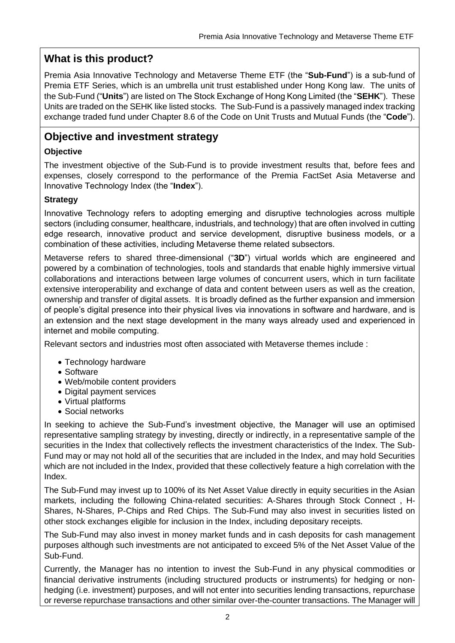## **What is this product?**

Premia Asia Innovative Technology and Metaverse Theme ETF (the "**Sub-Fund**") is a sub-fund of Premia ETF Series, which is an umbrella unit trust established under Hong Kong law. The units of the Sub-Fund ("**Units**") are listed on The Stock Exchange of Hong Kong Limited (the "**SEHK**"). These Units are traded on the SEHK like listed stocks. The Sub-Fund is a passively managed index tracking exchange traded fund under Chapter 8.6 of the Code on Unit Trusts and Mutual Funds (the "**Code**").

## **Objective and investment strategy**

#### **Objective**

The investment objective of the Sub-Fund is to provide investment results that, before fees and expenses, closely correspond to the performance of the Premia FactSet Asia Metaverse and Innovative Technology Index (the "**Index**").

#### **Strategy**

Innovative Technology refers to adopting emerging and disruptive technologies across multiple sectors (including consumer, healthcare, industrials, and technology) that are often involved in cutting edge research, innovative product and service development, disruptive business models, or a combination of these activities, including Metaverse theme related subsectors.

Metaverse refers to shared three-dimensional ("**3D**") virtual worlds which are engineered and powered by a combination of technologies, tools and standards that enable highly immersive virtual collaborations and interactions between large volumes of concurrent users, which in turn facilitate extensive interoperability and exchange of data and content between users as well as the creation, ownership and transfer of digital assets. It is broadly defined as the further expansion and immersion of people's digital presence into their physical lives via innovations in software and hardware, and is an extension and the next stage development in the many ways already used and experienced in internet and mobile computing.

Relevant sectors and industries most often associated with Metaverse themes include :

- Technology hardware
- Software
- Web/mobile content providers
- Digital payment services
- Virtual platforms
- Social networks

In seeking to achieve the Sub-Fund's investment objective, the Manager will use an optimised representative sampling strategy by investing, directly or indirectly, in a representative sample of the securities in the Index that collectively reflects the investment characteristics of the Index. The Sub-Fund may or may not hold all of the securities that are included in the Index, and may hold Securities which are not included in the Index, provided that these collectively feature a high correlation with the Index.

The Sub-Fund may invest up to 100% of its Net Asset Value directly in equity securities in the Asian markets, including the following China-related securities: A-Shares through Stock Connect , H-Shares, N-Shares, P-Chips and Red Chips. The Sub-Fund may also invest in securities listed on other stock exchanges eligible for inclusion in the Index, including depositary receipts.

The Sub-Fund may also invest in money market funds and in cash deposits for cash management purposes although such investments are not anticipated to exceed 5% of the Net Asset Value of the Sub-Fund.

Currently, the Manager has no intention to invest the Sub-Fund in any physical commodities or financial derivative instruments (including structured products or instruments) for hedging or nonhedging (i.e. investment) purposes, and will not enter into securities lending transactions, repurchase or reverse repurchase transactions and other similar over-the-counter transactions. The Manager will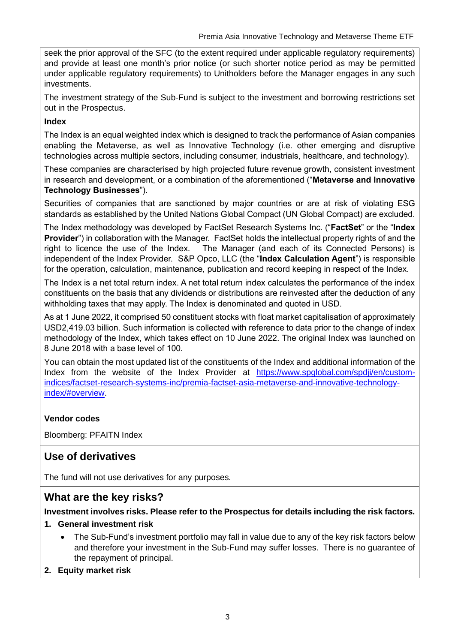seek the prior approval of the SFC (to the extent required under applicable regulatory requirements) and provide at least one month's prior notice (or such shorter notice period as may be permitted under applicable regulatory requirements) to Unitholders before the Manager engages in any such investments.

The investment strategy of the Sub-Fund is subject to the investment and borrowing restrictions set out in the Prospectus.

#### **Index**

The Index is an equal weighted index which is designed to track the performance of Asian companies enabling the Metaverse, as well as Innovative Technology (i.e. other emerging and disruptive technologies across multiple sectors, including consumer, industrials, healthcare, and technology).

These companies are characterised by high projected future revenue growth, consistent investment in research and development, or a combination of the aforementioned ("**Metaverse and Innovative Technology Businesses**").

Securities of companies that are sanctioned by major countries or are at risk of violating ESG standards as established by the United Nations Global Compact (UN Global Compact) are excluded.

The Index methodology was developed by FactSet Research Systems Inc. ("**FactSet**" or the "**Index Provider**") in collaboration with the Manager. FactSet holds the intellectual property rights of and the right to licence the use of the Index. The Manager (and each of its Connected Persons) is independent of the Index Provider. S&P Opco, LLC (the "**Index Calculation Agent**") is responsible for the operation, calculation, maintenance, publication and record keeping in respect of the Index.

The Index is a net total return index. A net total return index calculates the performance of the index constituents on the basis that any dividends or distributions are reinvested after the deduction of any withholding taxes that may apply. The Index is denominated and quoted in USD.

As at 1 June 2022, it comprised 50 constituent stocks with float market capitalisation of approximately USD2,419.03 billion. Such information is collected with reference to data prior to the change of index methodology of the Index, which takes effect on 10 June 2022. The original Index was launched on 8 June 2018 with a base level of 100.

You can obtain the most updated list of the constituents of the Index and additional information of the Index from the website of the Index Provider at https://www.spglobal.com/spdii/en/custom[indices/factset-research-systems-inc/premia-factset-asia-metaverse-and-innovative-technology](https://www.spglobal.com/spdji/en/custom-indices/factset-research-systems-inc/premia-factset-asia-metaverse-and-innovative-technology-index/#overview)[index/#overview.](https://www.spglobal.com/spdji/en/custom-indices/factset-research-systems-inc/premia-factset-asia-metaverse-and-innovative-technology-index/#overview)

#### **Vendor codes**

Bloomberg: PFAITN Index

## **Use of derivatives**

The fund will not use derivatives for any purposes.

## **What are the key risks?**

**Investment involves risks. Please refer to the Prospectus for details including the risk factors.**

#### **1. General investment risk**

- The Sub-Fund's investment portfolio may fall in value due to any of the key risk factors below and therefore your investment in the Sub-Fund may suffer losses. There is no guarantee of the repayment of principal.
- **2. Equity market risk**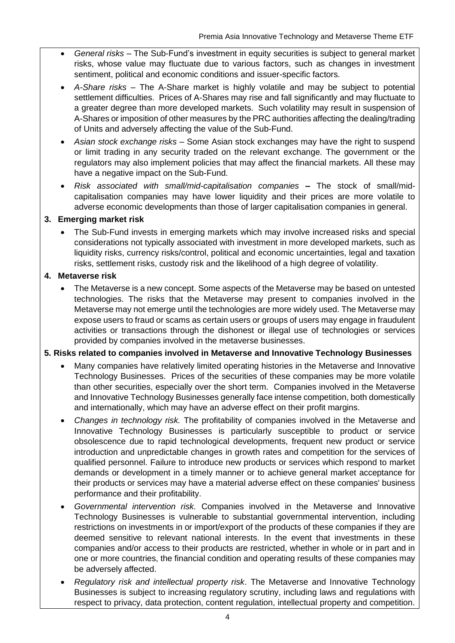- *General risks* The Sub-Fund's investment in equity securities is subject to general market risks, whose value may fluctuate due to various factors, such as changes in investment sentiment, political and economic conditions and issuer-specific factors.
- *A-Share risks* The A-Share market is highly volatile and may be subject to potential settlement difficulties. Prices of A-Shares may rise and fall significantly and may fluctuate to a greater degree than more developed markets. Such volatility may result in suspension of A-Shares or imposition of other measures by the PRC authorities affecting the dealing/trading of Units and adversely affecting the value of the Sub-Fund.
- *Asian stock exchange risks* Some Asian stock exchanges may have the right to suspend or limit trading in any security traded on the relevant exchange. The government or the regulators may also implement policies that may affect the financial markets. All these may have a negative impact on the Sub-Fund.
- *Risk associated with small/mid-capitalisation companies* **–** The stock of small/midcapitalisation companies may have lower liquidity and their prices are more volatile to adverse economic developments than those of larger capitalisation companies in general.

#### **3. Emerging market risk**

• The Sub-Fund invests in emerging markets which may involve increased risks and special considerations not typically associated with investment in more developed markets, such as liquidity risks, currency risks/control, political and economic uncertainties, legal and taxation risks, settlement risks, custody risk and the likelihood of a high degree of volatility.

#### **4. Metaverse risk**

• The Metaverse is a new concept. Some aspects of the Metaverse may be based on untested technologies. The risks that the Metaverse may present to companies involved in the Metaverse may not emerge until the technologies are more widely used. The Metaverse may expose users to fraud or scams as certain users or groups of users may engage in fraudulent activities or transactions through the dishonest or illegal use of technologies or services provided by companies involved in the metaverse businesses.

#### **5. Risks related to companies involved in Metaverse and Innovative Technology Businesses**

- Many companies have relatively limited operating histories in the Metaverse and Innovative Technology Businesses. Prices of the securities of these companies may be more volatile than other securities, especially over the short term. Companies involved in the Metaverse and Innovative Technology Businesses generally face intense competition, both domestically and internationally, which may have an adverse effect on their profit margins.
- *Changes in technology risk.* The profitability of companies involved in the Metaverse and Innovative Technology Businesses is particularly susceptible to product or service obsolescence due to rapid technological developments, frequent new product or service introduction and unpredictable changes in growth rates and competition for the services of qualified personnel. Failure to introduce new products or services which respond to market demands or development in a timely manner or to achieve general market acceptance for their products or services may have a material adverse effect on these companies' business performance and their profitability.
- *Governmental intervention risk.* Companies involved in the Metaverse and Innovative Technology Businesses is vulnerable to substantial governmental intervention, including restrictions on investments in or import/export of the products of these companies if they are deemed sensitive to relevant national interests. In the event that investments in these companies and/or access to their products are restricted, whether in whole or in part and in one or more countries, the financial condition and operating results of these companies may be adversely affected.
- *Regulatory risk and intellectual property risk*. The Metaverse and Innovative Technology Businesses is subject to increasing regulatory scrutiny, including laws and regulations with respect to privacy, data protection, content regulation, intellectual property and competition.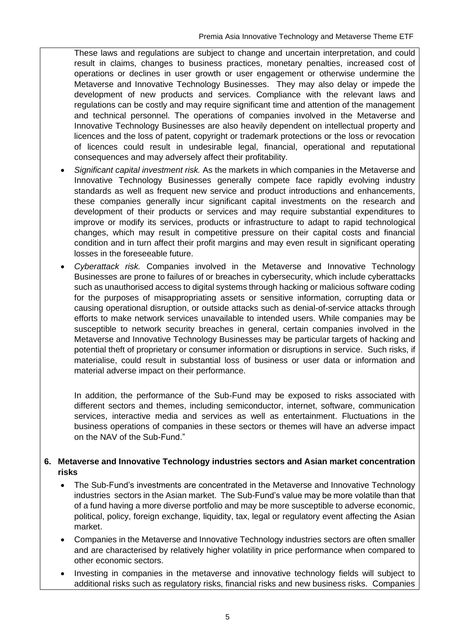These laws and regulations are subject to change and uncertain interpretation, and could result in claims, changes to business practices, monetary penalties, increased cost of operations or declines in user growth or user engagement or otherwise undermine the Metaverse and Innovative Technology Businesses. They may also delay or impede the development of new products and services. Compliance with the relevant laws and regulations can be costly and may require significant time and attention of the management and technical personnel. The operations of companies involved in the Metaverse and Innovative Technology Businesses are also heavily dependent on intellectual property and licences and the loss of patent, copyright or trademark protections or the loss or revocation of licences could result in undesirable legal, financial, operational and reputational consequences and may adversely affect their profitability.

- *Significant capital investment risk.* As the markets in which companies in the Metaverse and Innovative Technology Businesses generally compete face rapidly evolving industry standards as well as frequent new service and product introductions and enhancements, these companies generally incur significant capital investments on the research and development of their products or services and may require substantial expenditures to improve or modify its services, products or infrastructure to adapt to rapid technological changes, which may result in competitive pressure on their capital costs and financial condition and in turn affect their profit margins and may even result in significant operating losses in the foreseeable future.
- *Cyberattack risk.* Companies involved in the Metaverse and Innovative Technology Businesses are prone to failures of or breaches in cybersecurity, which include cyberattacks such as unauthorised access to digital systems through hacking or malicious software coding for the purposes of misappropriating assets or sensitive information, corrupting data or causing operational disruption, or outside attacks such as denial-of-service attacks through efforts to make network services unavailable to intended users. While companies may be susceptible to network security breaches in general, certain companies involved in the Metaverse and Innovative Technology Businesses may be particular targets of hacking and potential theft of proprietary or consumer information or disruptions in service. Such risks, if materialise, could result in substantial loss of business or user data or information and material adverse impact on their performance.

In addition, the performance of the Sub-Fund may be exposed to risks associated with different sectors and themes, including semiconductor, internet, software, communication services, interactive media and services as well as entertainment. Fluctuations in the business operations of companies in these sectors or themes will have an adverse impact on the NAV of the Sub-Fund."

#### **6. Metaverse and Innovative Technology industries sectors and Asian market concentration risks**

- The Sub-Fund's investments are concentrated in the Metaverse and Innovative Technology industries sectors in the Asian market. The Sub-Fund's value may be more volatile than that of a fund having a more diverse portfolio and may be more susceptible to adverse economic, political, policy, foreign exchange, liquidity, tax, legal or regulatory event affecting the Asian market.
- Companies in the Metaverse and Innovative Technology industries sectors are often smaller and are characterised by relatively higher volatility in price performance when compared to other economic sectors.
- Investing in companies in the metaverse and innovative technology fields will subject to additional risks such as regulatory risks, financial risks and new business risks. Companies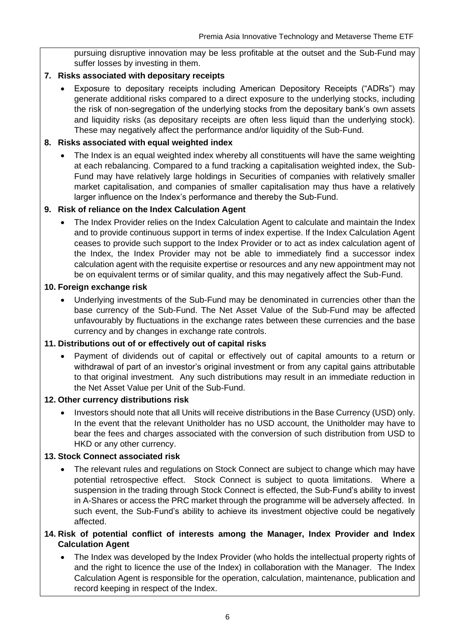pursuing disruptive innovation may be less profitable at the outset and the Sub-Fund may suffer losses by investing in them.

#### **7. Risks associated with depositary receipts**

• Exposure to depositary receipts including American Depository Receipts ("ADRs") may generate additional risks compared to a direct exposure to the underlying stocks, including the risk of non-segregation of the underlying stocks from the depositary bank's own assets and liquidity risks (as depositary receipts are often less liquid than the underlying stock). These may negatively affect the performance and/or liquidity of the Sub-Fund.

#### **8. Risks associated with equal weighted index**

The Index is an equal weighted index whereby all constituents will have the same weighting at each rebalancing. Compared to a fund tracking a capitalisation weighted index, the Sub-Fund may have relatively large holdings in Securities of companies with relatively smaller market capitalisation, and companies of smaller capitalisation may thus have a relatively larger influence on the Index's performance and thereby the Sub-Fund.

#### **9. Risk of reliance on the Index Calculation Agent**

• The Index Provider relies on the Index Calculation Agent to calculate and maintain the Index and to provide continuous support in terms of index expertise. If the Index Calculation Agent ceases to provide such support to the Index Provider or to act as index calculation agent of the Index, the Index Provider may not be able to immediately find a successor index calculation agent with the requisite expertise or resources and any new appointment may not be on equivalent terms or of similar quality, and this may negatively affect the Sub-Fund.

#### **10. Foreign exchange risk**

• Underlying investments of the Sub-Fund may be denominated in currencies other than the base currency of the Sub-Fund. The Net Asset Value of the Sub-Fund may be affected unfavourably by fluctuations in the exchange rates between these currencies and the base currency and by changes in exchange rate controls.

#### **11. Distributions out of or effectively out of capital risks**

• Payment of dividends out of capital or effectively out of capital amounts to a return or withdrawal of part of an investor's original investment or from any capital gains attributable to that original investment. Any such distributions may result in an immediate reduction in the Net Asset Value per Unit of the Sub-Fund.

#### **12. Other currency distributions risk**

• Investors should note that all Units will receive distributions in the Base Currency (USD) only. In the event that the relevant Unitholder has no USD account, the Unitholder may have to bear the fees and charges associated with the conversion of such distribution from USD to HKD or any other currency.

#### **13. Stock Connect associated risk**

- The relevant rules and regulations on Stock Connect are subject to change which may have potential retrospective effect. Stock Connect is subject to quota limitations. Where a suspension in the trading through Stock Connect is effected, the Sub-Fund's ability to invest in A-Shares or access the PRC market through the programme will be adversely affected. In such event, the Sub-Fund's ability to achieve its investment objective could be negatively affected.
- **14. Risk of potential conflict of interests among the Manager, Index Provider and Index Calculation Agent**
	- The Index was developed by the Index Provider (who holds the intellectual property rights of and the right to licence the use of the Index) in collaboration with the Manager. The Index Calculation Agent is responsible for the operation, calculation, maintenance, publication and record keeping in respect of the Index.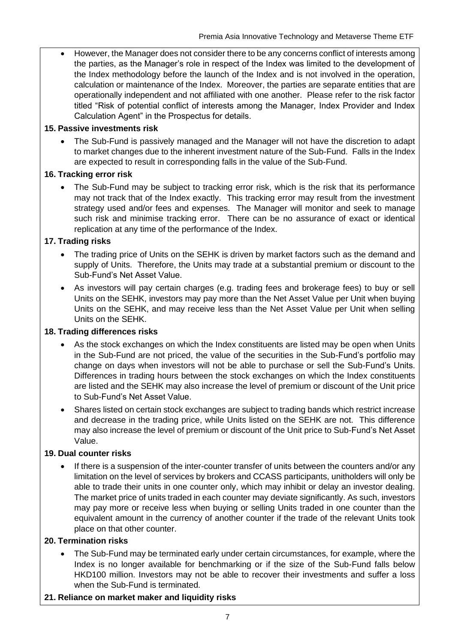• However, the Manager does not consider there to be any concerns conflict of interests among the parties, as the Manager's role in respect of the Index was limited to the development of the Index methodology before the launch of the Index and is not involved in the operation, calculation or maintenance of the Index. Moreover, the parties are separate entities that are operationally independent and not affiliated with one another. Please refer to the risk factor titled "Risk of potential conflict of interests among the Manager, Index Provider and Index Calculation Agent" in the Prospectus for details.

#### **15. Passive investments risk**

• The Sub-Fund is passively managed and the Manager will not have the discretion to adapt to market changes due to the inherent investment nature of the Sub-Fund. Falls in the Index are expected to result in corresponding falls in the value of the Sub-Fund.

#### **16. Tracking error risk**

The Sub-Fund may be subject to tracking error risk, which is the risk that its performance may not track that of the Index exactly. This tracking error may result from the investment strategy used and/or fees and expenses. The Manager will monitor and seek to manage such risk and minimise tracking error. There can be no assurance of exact or identical replication at any time of the performance of the Index.

#### **17. Trading risks**

- The trading price of Units on the SEHK is driven by market factors such as the demand and supply of Units. Therefore, the Units may trade at a substantial premium or discount to the Sub-Fund's Net Asset Value.
- As investors will pay certain charges (e.g. trading fees and brokerage fees) to buy or sell Units on the SEHK, investors may pay more than the Net Asset Value per Unit when buying Units on the SEHK, and may receive less than the Net Asset Value per Unit when selling Units on the SEHK.

#### **18. Trading differences risks**

- As the stock exchanges on which the Index constituents are listed may be open when Units in the Sub-Fund are not priced, the value of the securities in the Sub-Fund's portfolio may change on days when investors will not be able to purchase or sell the Sub-Fund's Units. Differences in trading hours between the stock exchanges on which the Index constituents are listed and the SEHK may also increase the level of premium or discount of the Unit price to Sub-Fund's Net Asset Value.
- Shares listed on certain stock exchanges are subject to trading bands which restrict increase and decrease in the trading price, while Units listed on the SEHK are not. This difference may also increase the level of premium or discount of the Unit price to Sub-Fund's Net Asset Value.

#### **19. Dual counter risks**

• If there is a suspension of the inter-counter transfer of units between the counters and/or any limitation on the level of services by brokers and CCASS participants, unitholders will only be able to trade their units in one counter only, which may inhibit or delay an investor dealing. The market price of units traded in each counter may deviate significantly. As such, investors may pay more or receive less when buying or selling Units traded in one counter than the equivalent amount in the currency of another counter if the trade of the relevant Units took place on that other counter.

#### **20. Termination risks**

• The Sub-Fund may be terminated early under certain circumstances, for example, where the Index is no longer available for benchmarking or if the size of the Sub-Fund falls below HKD100 million. Investors may not be able to recover their investments and suffer a loss when the Sub-Fund is terminated.

#### **21. Reliance on market maker and liquidity risks**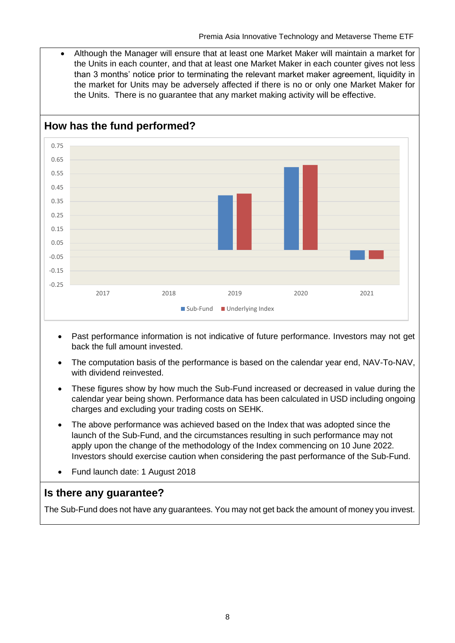• Although the Manager will ensure that at least one Market Maker will maintain a market for the Units in each counter, and that at least one Market Maker in each counter gives not less than 3 months' notice prior to terminating the relevant market maker agreement, liquidity in the market for Units may be adversely affected if there is no or only one Market Maker for the Units. There is no guarantee that any market making activity will be effective.



- Past performance information is not indicative of future performance. Investors may not get back the full amount invested.
- The computation basis of the performance is based on the calendar year end, NAV-To-NAV, with dividend reinvested.
- These figures show by how much the Sub-Fund increased or decreased in value during the calendar year being shown. Performance data has been calculated in USD including ongoing charges and excluding your trading costs on SEHK.
- The above performance was achieved based on the Index that was adopted since the launch of the Sub-Fund, and the circumstances resulting in such performance may not apply upon the change of the methodology of the Index commencing on 10 June 2022. Investors should exercise caution when considering the past performance of the Sub-Fund.
- Fund launch date: 1 August 2018

## **Is there any guarantee?**

The Sub-Fund does not have any guarantees. You may not get back the amount of money you invest.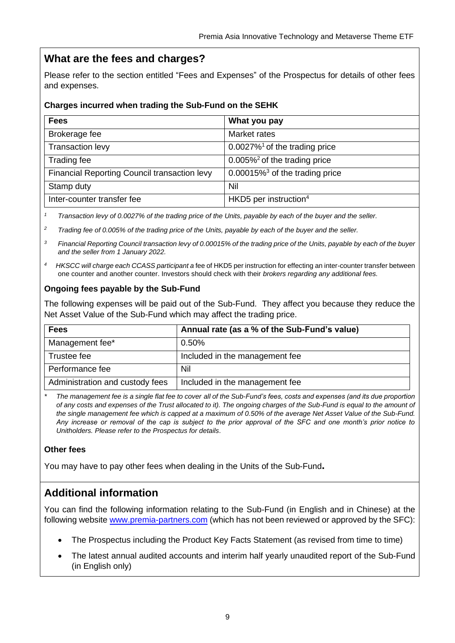## **What are the fees and charges?**

Please refer to the section entitled "Fees and Expenses" of the Prospectus for details of other fees and expenses.

#### **Charges incurred when trading the Sub-Fund on the SEHK**

| <b>Fees</b>                                  | What you pay                                  |
|----------------------------------------------|-----------------------------------------------|
| Brokerage fee                                | Market rates                                  |
| <b>Transaction levy</b>                      | $0.0027\%$ <sup>1</sup> of the trading price  |
| Trading fee                                  | $0.005\%$ <sup>2</sup> of the trading price   |
| Financial Reporting Council transaction levy | $0.00015\%$ <sup>3</sup> of the trading price |
| Stamp duty                                   | Nil                                           |
| Inter-counter transfer fee                   | HKD5 per instruction <sup>4</sup>             |

*<sup>1</sup> Transaction levy of 0.0027% of the trading price of the Units, payable by each of the buyer and the seller.*

*<sup>2</sup> Trading fee of 0.005% of the trading price of the Units, payable by each of the buyer and the seller.*

*<sup>3</sup> Financial Reporting Council transaction levy of 0.00015% of the trading price of the Units, payable by each of the buyer and the seller from 1 January 2022.*

*<sup>4</sup>HKSCC will charge each CCASS participant a* fee of HKD5 per instruction for effecting an inter-counter transfer between one counter and another counter. Investors should check with their *brokers regarding any additional fees.*

#### **Ongoing fees payable by the Sub-Fund**

The following expenses will be paid out of the Sub-Fund. They affect you because they reduce the Net Asset Value of the Sub-Fund which may affect the trading price.

| <b>Fees</b>                     | Annual rate (as a % of the Sub-Fund's value) |
|---------------------------------|----------------------------------------------|
| Management fee*                 | 0.50%                                        |
| Trustee fee                     | Included in the management fee               |
| Performance fee                 | Nil                                          |
| Administration and custody fees | Included in the management fee               |

*\* The management fee is a single flat fee to cover all of the Sub-Fund's fees, costs and expenses (and its due proportion of any costs and expenses of the Trust allocated to it). The ongoing charges of the Sub-Fund is equal to the amount of the single management fee which is capped at a maximum of 0.50% of the average Net Asset Value of the Sub-Fund. Any increase or removal of the cap is subject to the prior approval of the SFC and one month's prior notice to Unitholders. Please refer to the Prospectus for details.*

#### **Other fees**

You may have to pay other fees when dealing in the Units of the Sub-Fund**.**

## **Additional information**

You can find the following information relating to the Sub-Fund (in English and in Chinese) at the following website [www.premia-partners.com](http://www.premia-partners.com/) (which has not been reviewed or approved by the SFC):

- The Prospectus including the Product Key Facts Statement (as revised from time to time)
- The latest annual audited accounts and interim half yearly unaudited report of the Sub-Fund (in English only)